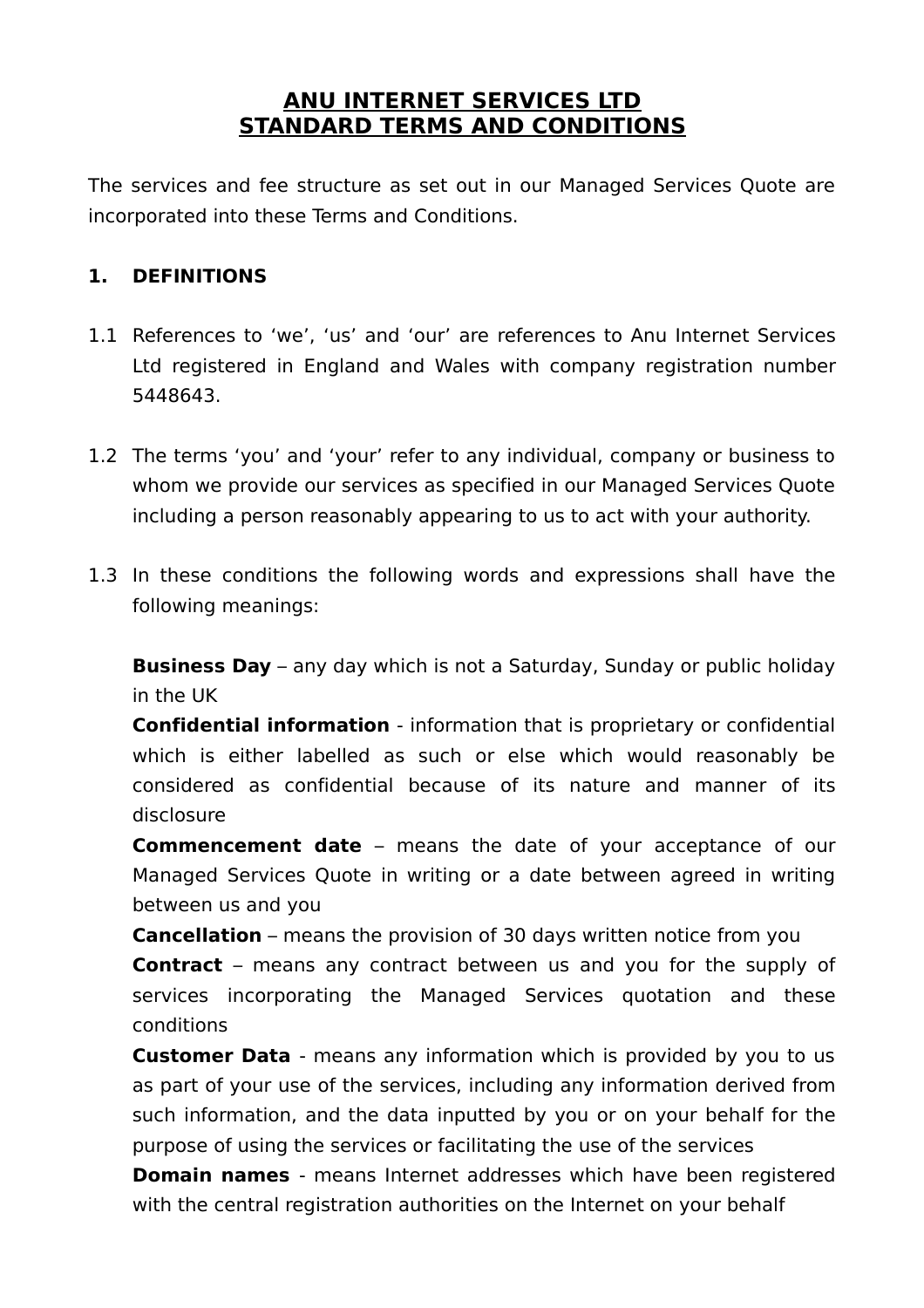## **ANU INTERNET SERVICES LTD STANDARD TERMS AND CONDITIONS**

The services and fee structure as set out in our Managed Services Quote are incorporated into these Terms and Conditions.

#### **1. DEFINITIONS**

- 1.1 References to 'we', 'us' and 'our' are references to Anu Internet Services Ltd registered in England and Wales with company registration number 5448643.
- 1.2 The terms 'you' and 'your' refer to any individual, company or business to whom we provide our services as specified in our Managed Services Quote including a person reasonably appearing to us to act with your authority.
- 1.3 In these conditions the following words and expressions shall have the following meanings:

**Business Day** – any day which is not a Saturday, Sunday or public holiday in the UK

**Confidential information** - information that is proprietary or confidential which is either labelled as such or else which would reasonably be considered as confidential because of its nature and manner of its disclosure

**Commencement date** – means the date of your acceptance of our Managed Services Quote in writing or a date between agreed in writing between us and you

**Cancellation** – means the provision of 30 days written notice from you

**Contract** – means any contract between us and you for the supply of services incorporating the Managed Services quotation and these conditions

**Customer Data** - means any information which is provided by you to us as part of your use of the services, including any information derived from such information, and the data inputted by you or on your behalf for the purpose of using the services or facilitating the use of the services

**Domain names** - means Internet addresses which have been registered with the central registration authorities on the Internet on your behalf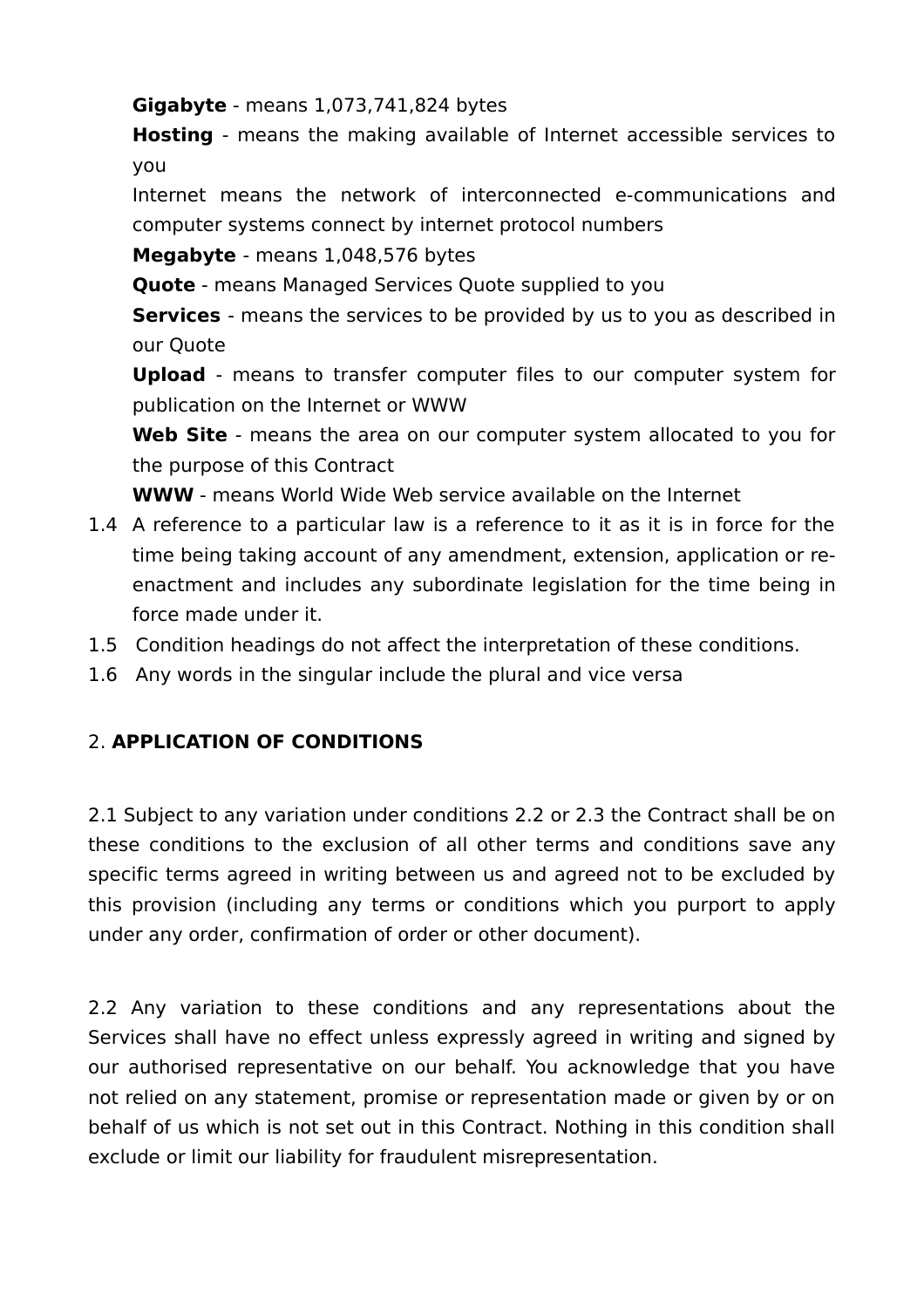**Gigabyte** - means 1,073,741,824 bytes

**Hosting** - means the making available of Internet accessible services to you

Internet means the network of interconnected e-communications and computer systems connect by internet protocol numbers

**Megabyte** - means 1,048,576 bytes

**Quote** - means Managed Services Quote supplied to you

**Services** - means the services to be provided by us to you as described in our Quote

**Upload** - means to transfer computer files to our computer system for publication on the Internet or WWW

**Web Site** - means the area on our computer system allocated to you for the purpose of this Contract

**WWW** - means World Wide Web service available on the Internet

- 1.4 A reference to a particular law is a reference to it as it is in force for the time being taking account of any amendment, extension, application or reenactment and includes any subordinate legislation for the time being in force made under it.
- 1.5 Condition headings do not affect the interpretation of these conditions.
- 1.6 Any words in the singular include the plural and vice versa

# 2. **APPLICATION OF CONDITIONS**

2.1 Subject to any variation under conditions 2.2 or 2.3 the Contract shall be on these conditions to the exclusion of all other terms and conditions save any specific terms agreed in writing between us and agreed not to be excluded by this provision (including any terms or conditions which you purport to apply under any order, confirmation of order or other document).

2.2 Any variation to these conditions and any representations about the Services shall have no effect unless expressly agreed in writing and signed by our authorised representative on our behalf. You acknowledge that you have not relied on any statement, promise or representation made or given by or on behalf of us which is not set out in this Contract. Nothing in this condition shall exclude or limit our liability for fraudulent misrepresentation.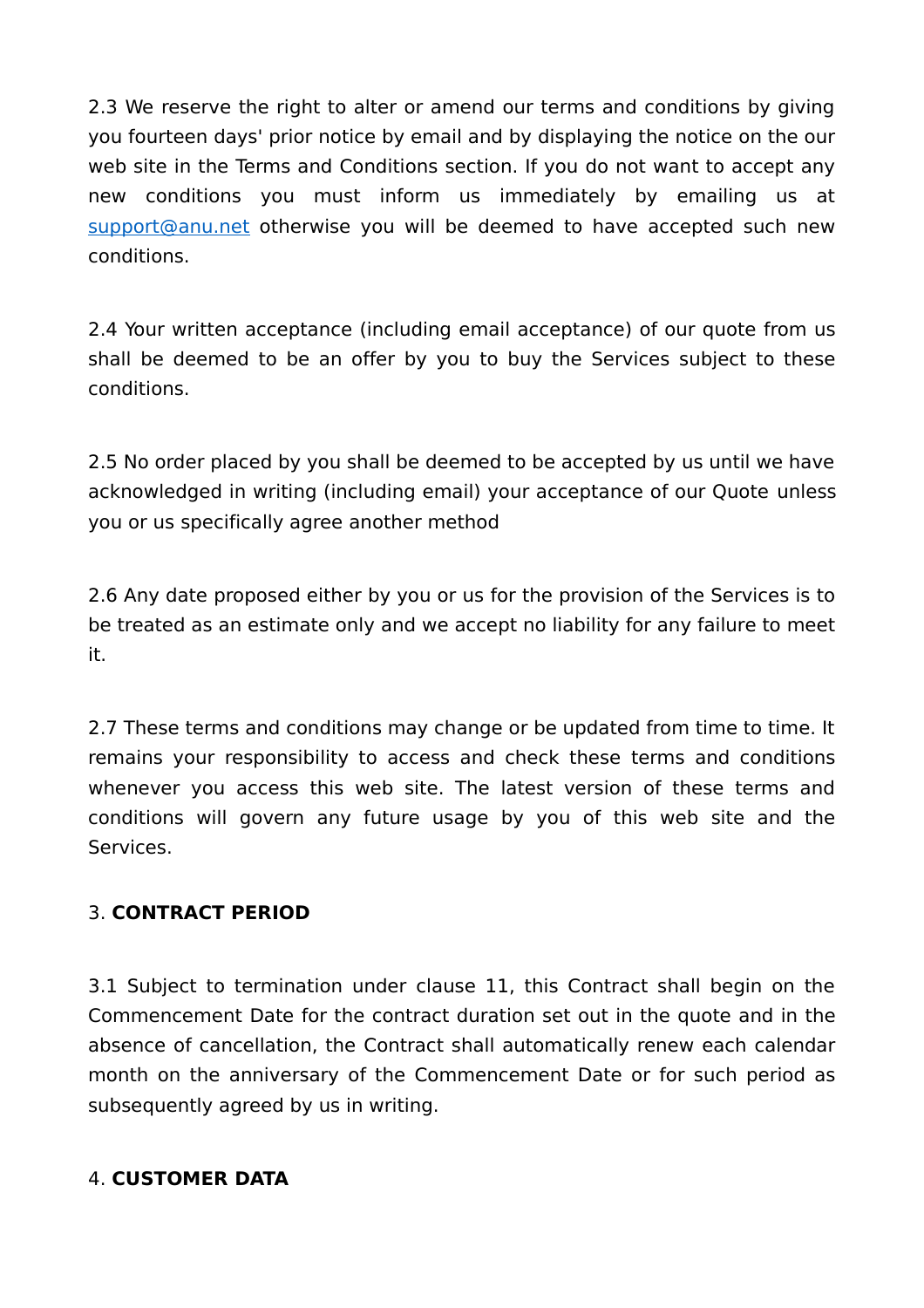2.3 We reserve the right to alter or amend our terms and conditions by giving you fourteen days' prior notice by email and by displaying the notice on the our web site in the Terms and Conditions section. If you do not want to accept any new conditions you must inform us immediately by emailing us at support@anu.net otherwise you will be deemed to have accepted such new conditions.

2.4 Your written acceptance (including email acceptance) of our quote from us shall be deemed to be an offer by you to buy the Services subject to these conditions.

2.5 No order placed by you shall be deemed to be accepted by us until we have acknowledged in writing (including email) your acceptance of our Quote unless you or us specifically agree another method

2.6 Any date proposed either by you or us for the provision of the Services is to be treated as an estimate only and we accept no liability for any failure to meet it.

2.7 These terms and conditions may change or be updated from time to time. It remains your responsibility to access and check these terms and conditions whenever you access this web site. The latest version of these terms and conditions will govern any future usage by you of this web site and the Services.

### 3. **CONTRACT PERIOD**

3.1 Subject to termination under clause 11, this Contract shall begin on the Commencement Date for the contract duration set out in the quote and in the absence of cancellation, the Contract shall automatically renew each calendar month on the anniversary of the Commencement Date or for such period as subsequently agreed by us in writing.

#### 4. **CUSTOMER DATA**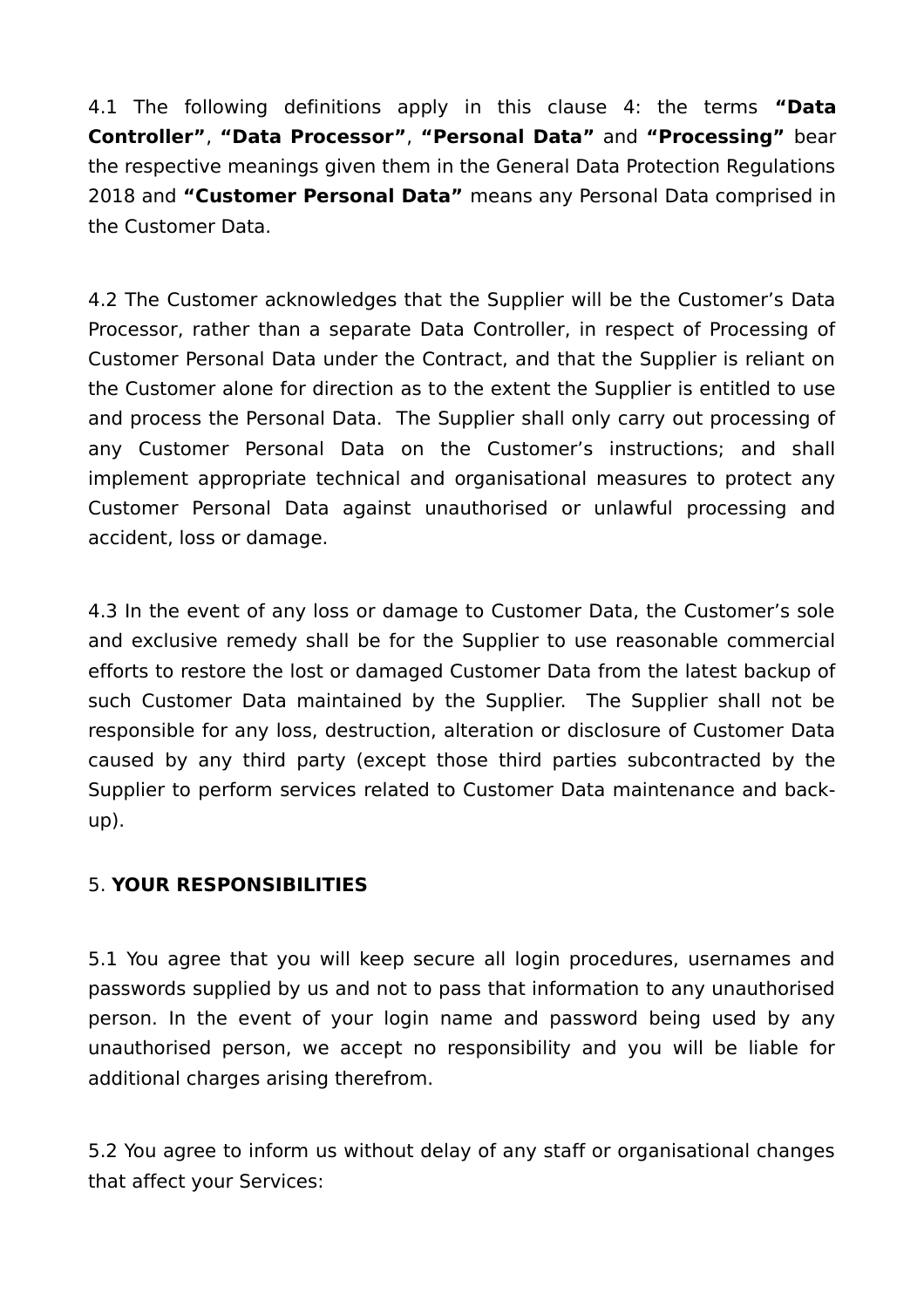4.1 The following definitions apply in this clause 4: the terms **"Data Controller"**, **"Data Processor"**, **"Personal Data"** and **"Processing"** bear the respective meanings given them in the General Data Protection Regulations 2018 and **"Customer Personal Data"** means any Personal Data comprised in the Customer Data.

4.2 The Customer acknowledges that the Supplier will be the Customer's Data Processor, rather than a separate Data Controller, in respect of Processing of Customer Personal Data under the Contract, and that the Supplier is reliant on the Customer alone for direction as to the extent the Supplier is entitled to use and process the Personal Data. The Supplier shall only carry out processing of any Customer Personal Data on the Customer's instructions; and shall implement appropriate technical and organisational measures to protect any Customer Personal Data against unauthorised or unlawful processing and accident, loss or damage.

4.3 In the event of any loss or damage to Customer Data, the Customer's sole and exclusive remedy shall be for the Supplier to use reasonable commercial efforts to restore the lost or damaged Customer Data from the latest backup of such Customer Data maintained by the Supplier. The Supplier shall not be responsible for any loss, destruction, alteration or disclosure of Customer Data caused by any third party (except those third parties subcontracted by the Supplier to perform services related to Customer Data maintenance and backup).

### 5. **YOUR RESPONSIBILITIES**

5.1 You agree that you will keep secure all login procedures, usernames and passwords supplied by us and not to pass that information to any unauthorised person. In the event of your login name and password being used by any unauthorised person, we accept no responsibility and you will be liable for additional charges arising therefrom.

5.2 You agree to inform us without delay of any staff or organisational changes that affect your Services: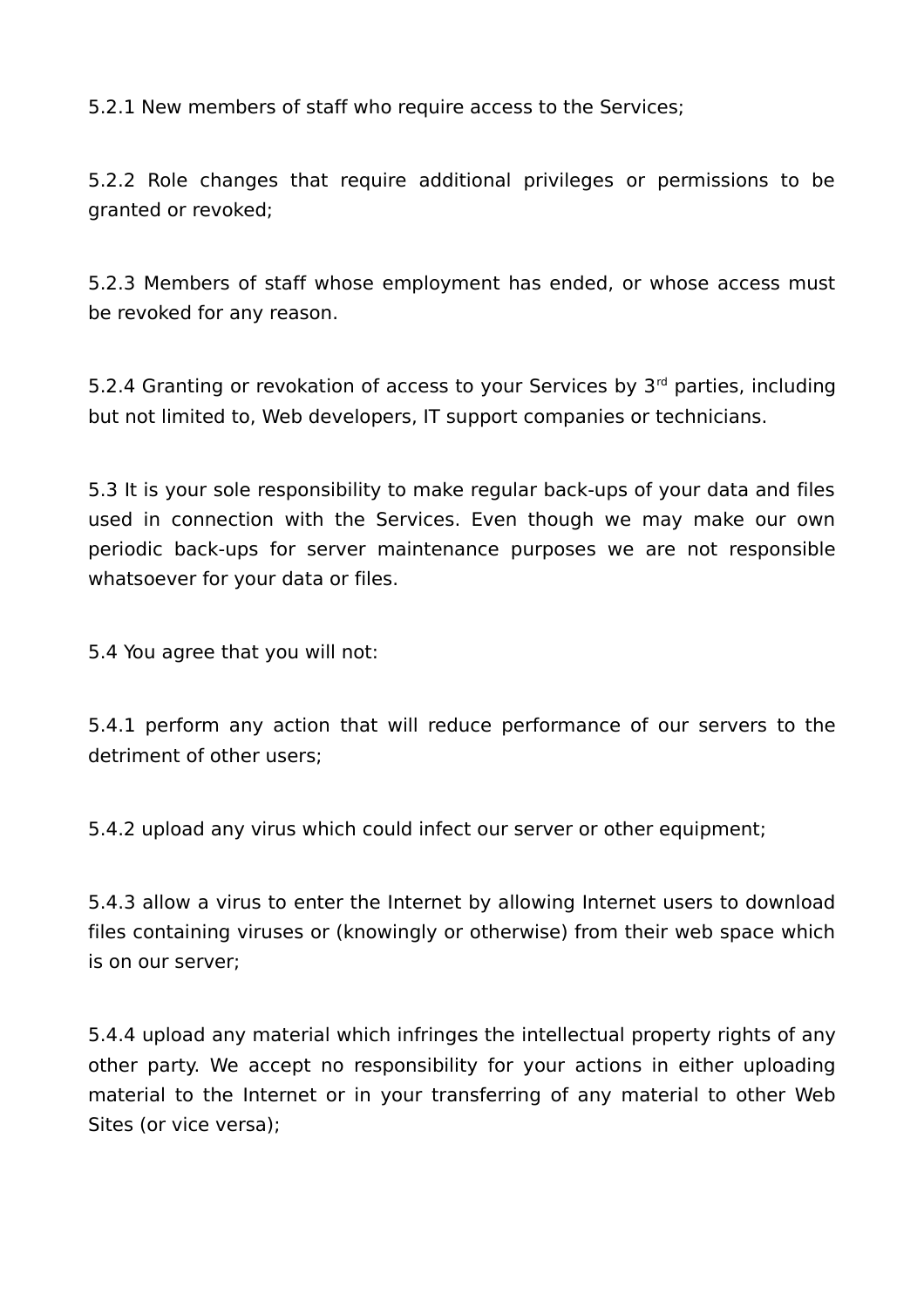5.2.1 New members of staff who require access to the Services;

5.2.2 Role changes that require additional privileges or permissions to be granted or revoked;

5.2.3 Members of staff whose employment has ended, or whose access must be revoked for any reason.

5.2.4 Granting or revokation of access to your Services by  $3<sup>rd</sup>$  parties, including but not limited to, Web developers, IT support companies or technicians.

5.3 It is your sole responsibility to make regular back-ups of your data and files used in connection with the Services. Even though we may make our own periodic back-ups for server maintenance purposes we are not responsible whatsoever for your data or files.

5.4 You agree that you will not:

5.4.1 perform any action that will reduce performance of our servers to the detriment of other users;

5.4.2 upload any virus which could infect our server or other equipment;

5.4.3 allow a virus to enter the Internet by allowing Internet users to download files containing viruses or (knowingly or otherwise) from their web space which is on our server;

5.4.4 upload any material which infringes the intellectual property rights of any other party. We accept no responsibility for your actions in either uploading material to the Internet or in your transferring of any material to other Web Sites (or vice versa);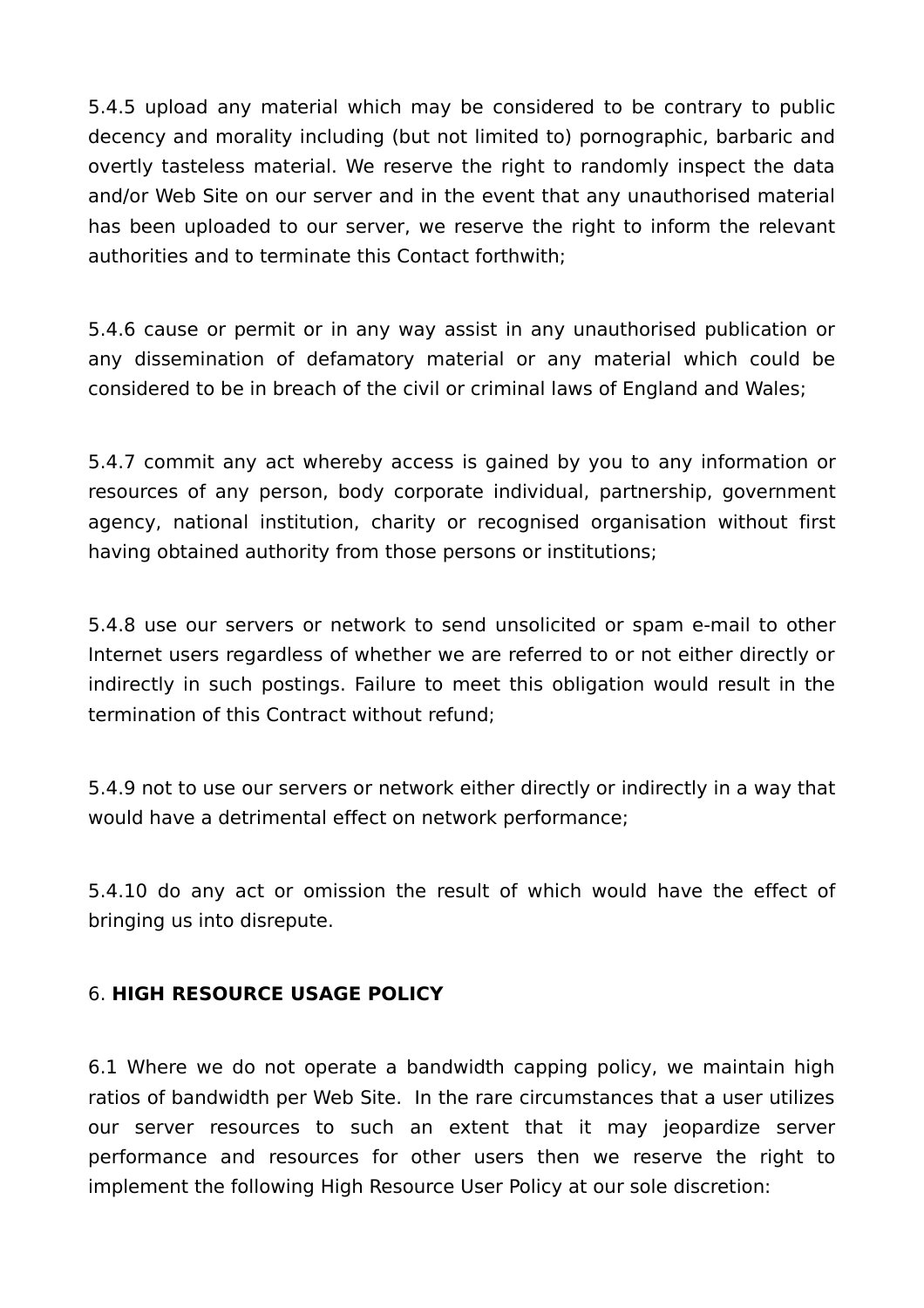5.4.5 upload any material which may be considered to be contrary to public decency and morality including (but not limited to) pornographic, barbaric and overtly tasteless material. We reserve the right to randomly inspect the data and/or Web Site on our server and in the event that any unauthorised material has been uploaded to our server, we reserve the right to inform the relevant authorities and to terminate this Contact forthwith;

5.4.6 cause or permit or in any way assist in any unauthorised publication or any dissemination of defamatory material or any material which could be considered to be in breach of the civil or criminal laws of England and Wales;

5.4.7 commit any act whereby access is gained by you to any information or resources of any person, body corporate individual, partnership, government agency, national institution, charity or recognised organisation without first having obtained authority from those persons or institutions;

5.4.8 use our servers or network to send unsolicited or spam e-mail to other Internet users regardless of whether we are referred to or not either directly or indirectly in such postings. Failure to meet this obligation would result in the termination of this Contract without refund;

5.4.9 not to use our servers or network either directly or indirectly in a way that would have a detrimental effect on network performance;

5.4.10 do any act or omission the result of which would have the effect of bringing us into disrepute.

### 6. **HIGH RESOURCE USAGE POLICY**

6.1 Where we do not operate a bandwidth capping policy, we maintain high ratios of bandwidth per Web Site. In the rare circumstances that a user utilizes our server resources to such an extent that it may jeopardize server performance and resources for other users then we reserve the right to implement the following High Resource User Policy at our sole discretion: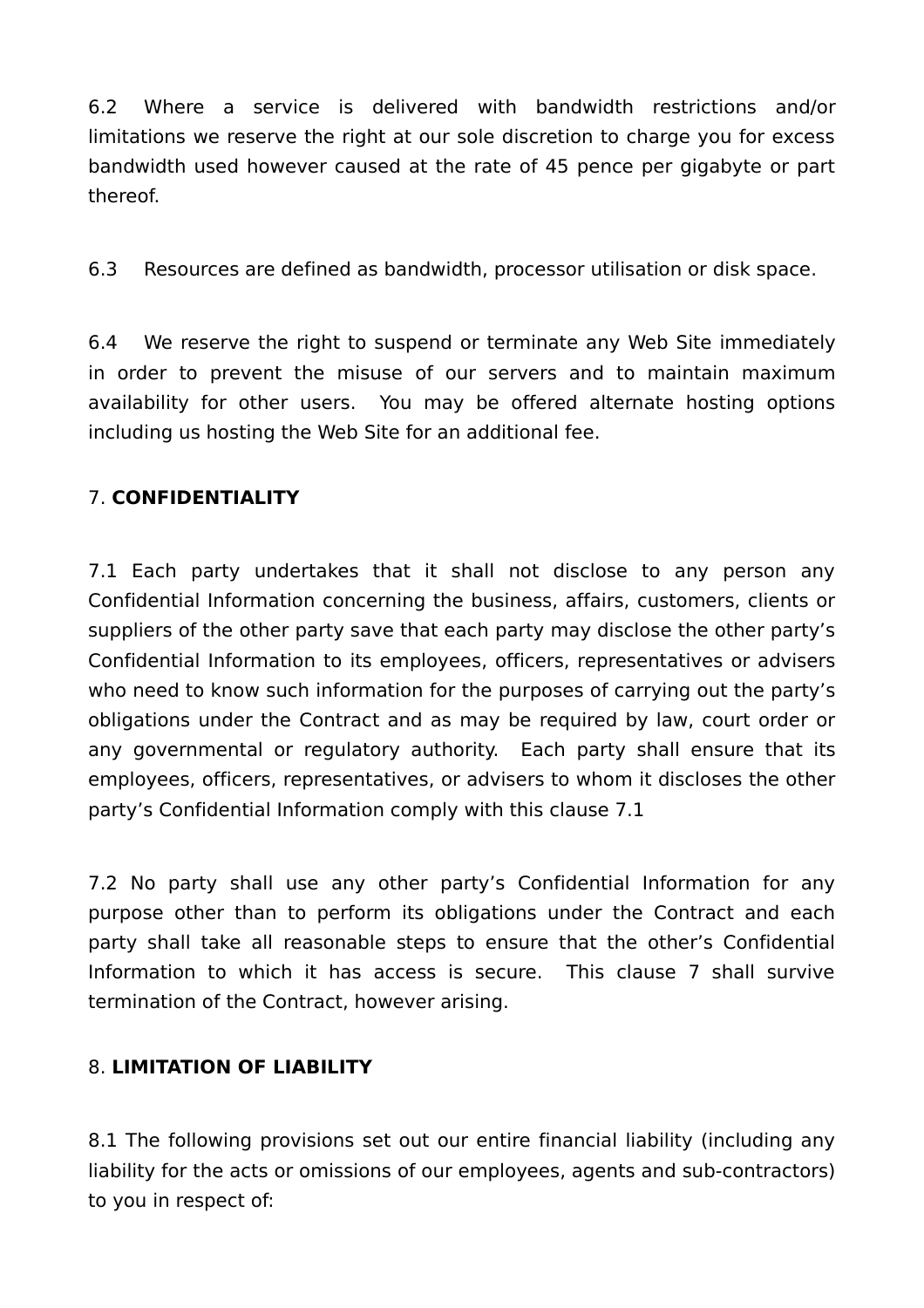6.2 Where a service is delivered with bandwidth restrictions and/or limitations we reserve the right at our sole discretion to charge you for excess bandwidth used however caused at the rate of 45 pence per gigabyte or part thereof.

6.3 Resources are defined as bandwidth, processor utilisation or disk space.

6.4 We reserve the right to suspend or terminate any Web Site immediately in order to prevent the misuse of our servers and to maintain maximum availability for other users. You may be offered alternate hosting options including us hosting the Web Site for an additional fee.

#### 7. **CONFIDENTIALITY**

7.1 Each party undertakes that it shall not disclose to any person any Confidential Information concerning the business, affairs, customers, clients or suppliers of the other party save that each party may disclose the other party's Confidential Information to its employees, officers, representatives or advisers who need to know such information for the purposes of carrying out the party's obligations under the Contract and as may be required by law, court order or any governmental or regulatory authority. Each party shall ensure that its employees, officers, representatives, or advisers to whom it discloses the other party's Confidential Information comply with this clause 7.1

7.2 No party shall use any other party's Confidential Information for any purpose other than to perform its obligations under the Contract and each party shall take all reasonable steps to ensure that the other's Confidential Information to which it has access is secure. This clause 7 shall survive termination of the Contract, however arising.

### 8. **LIMITATION OF LIABILITY**

8.1 The following provisions set out our entire financial liability (including any liability for the acts or omissions of our employees, agents and sub-contractors) to you in respect of: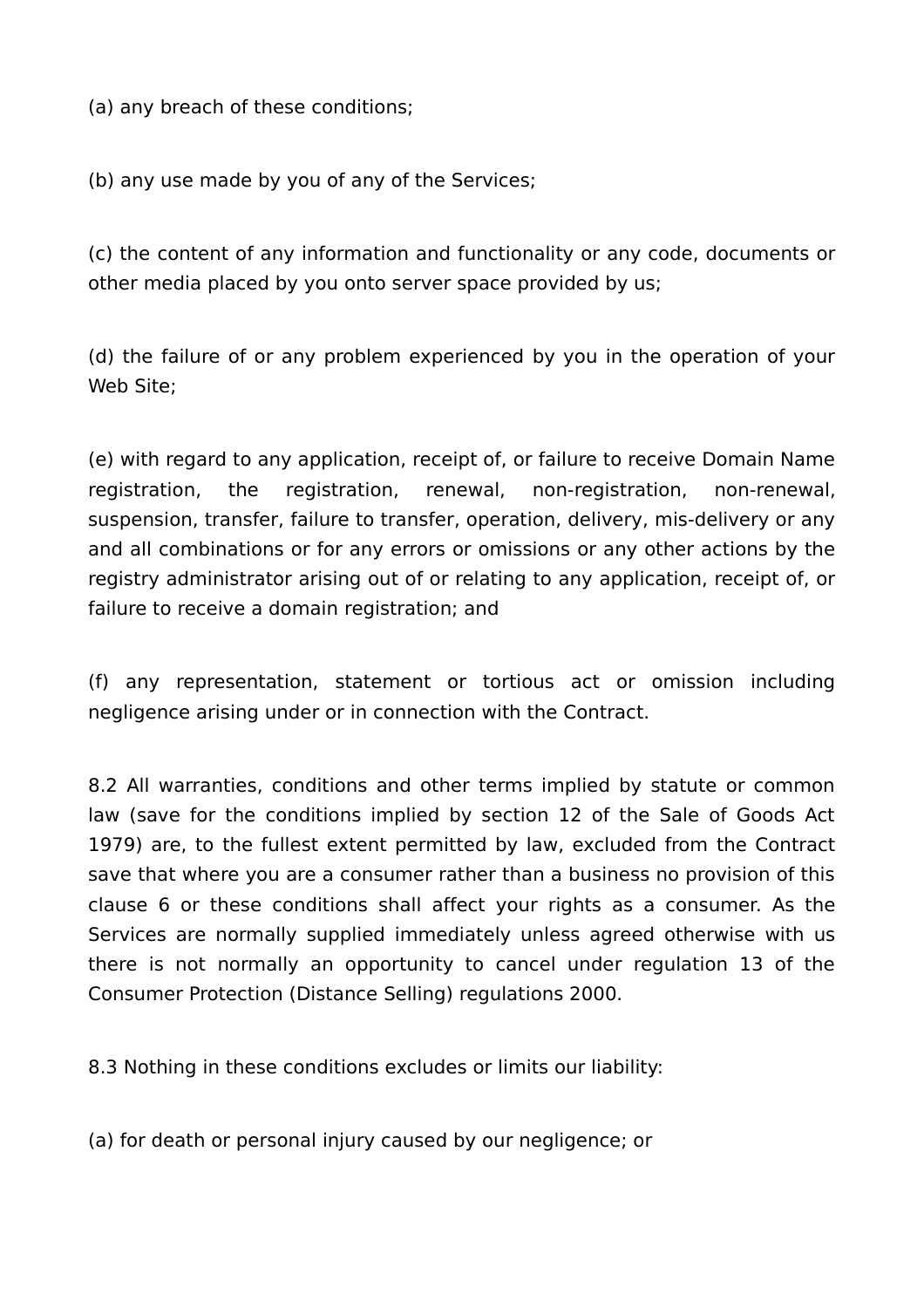(a) any breach of these conditions;

(b) any use made by you of any of the Services;

(c) the content of any information and functionality or any code, documents or other media placed by you onto server space provided by us;

(d) the failure of or any problem experienced by you in the operation of your Web Site;

(e) with regard to any application, receipt of, or failure to receive Domain Name registration, the registration, renewal, non-registration, non-renewal, suspension, transfer, failure to transfer, operation, delivery, mis-delivery or any and all combinations or for any errors or omissions or any other actions by the registry administrator arising out of or relating to any application, receipt of, or failure to receive a domain registration; and

(f) any representation, statement or tortious act or omission including negligence arising under or in connection with the Contract.

8.2 All warranties, conditions and other terms implied by statute or common law (save for the conditions implied by section 12 of the Sale of Goods Act 1979) are, to the fullest extent permitted by law, excluded from the Contract save that where you are a consumer rather than a business no provision of this clause 6 or these conditions shall affect your rights as a consumer. As the Services are normally supplied immediately unless agreed otherwise with us there is not normally an opportunity to cancel under regulation 13 of the Consumer Protection (Distance Selling) regulations 2000.

8.3 Nothing in these conditions excludes or limits our liability:

(a) for death or personal injury caused by our negligence; or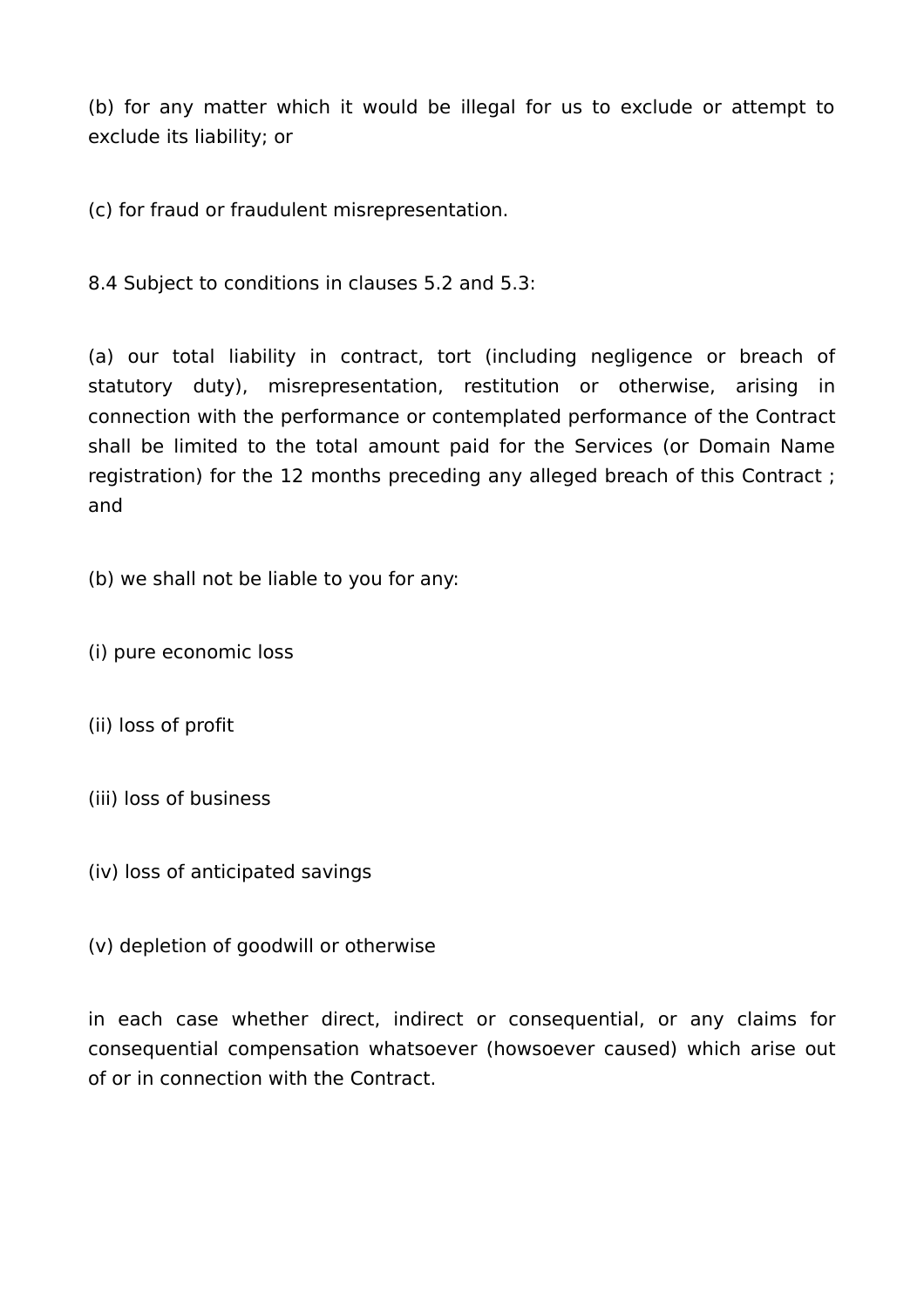(b) for any matter which it would be illegal for us to exclude or attempt to exclude its liability; or

(c) for fraud or fraudulent misrepresentation.

8.4 Subject to conditions in clauses 5.2 and 5.3:

(a) our total liability in contract, tort (including negligence or breach of statutory duty), misrepresentation, restitution or otherwise, arising in connection with the performance or contemplated performance of the Contract shall be limited to the total amount paid for the Services (or Domain Name registration) for the 12 months preceding any alleged breach of this Contract ; and

(b) we shall not be liable to you for any:

- (i) pure economic loss
- (ii) loss of profit
- (iii) loss of business
- (iv) loss of anticipated savings

(v) depletion of goodwill or otherwise

in each case whether direct, indirect or consequential, or any claims for consequential compensation whatsoever (howsoever caused) which arise out of or in connection with the Contract.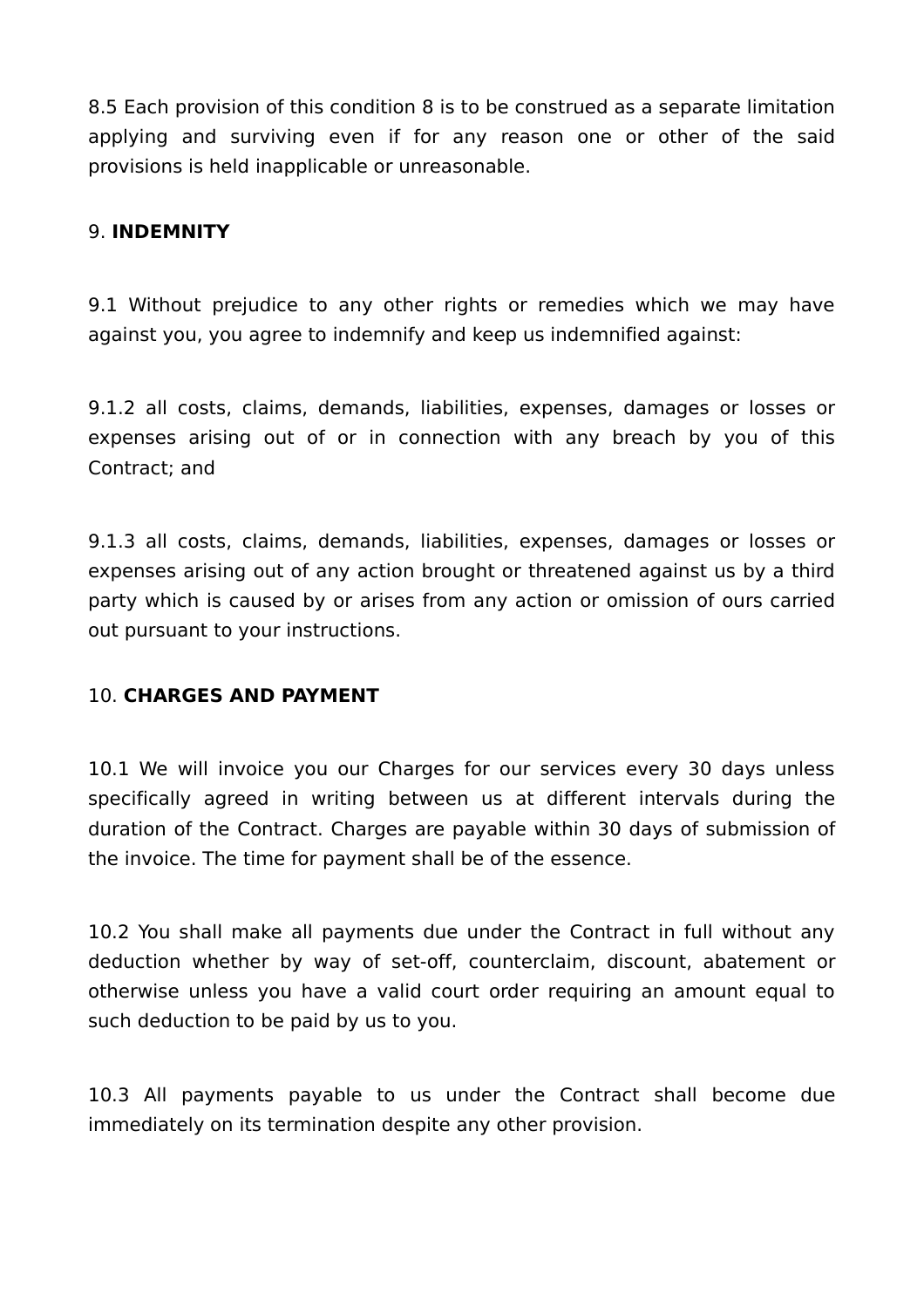8.5 Each provision of this condition 8 is to be construed as a separate limitation applying and surviving even if for any reason one or other of the said provisions is held inapplicable or unreasonable.

#### 9. **INDEMNITY**

9.1 Without prejudice to any other rights or remedies which we may have against you, you agree to indemnify and keep us indemnified against:

9.1.2 all costs, claims, demands, liabilities, expenses, damages or losses or expenses arising out of or in connection with any breach by you of this Contract; and

9.1.3 all costs, claims, demands, liabilities, expenses, damages or losses or expenses arising out of any action brought or threatened against us by a third party which is caused by or arises from any action or omission of ours carried out pursuant to your instructions.

#### 10. **CHARGES AND PAYMENT**

10.1 We will invoice you our Charges for our services every 30 days unless specifically agreed in writing between us at different intervals during the duration of the Contract. Charges are payable within 30 days of submission of the invoice. The time for payment shall be of the essence.

10.2 You shall make all payments due under the Contract in full without any deduction whether by way of set-off, counterclaim, discount, abatement or otherwise unless you have a valid court order requiring an amount equal to such deduction to be paid by us to you.

10.3 All payments payable to us under the Contract shall become due immediately on its termination despite any other provision.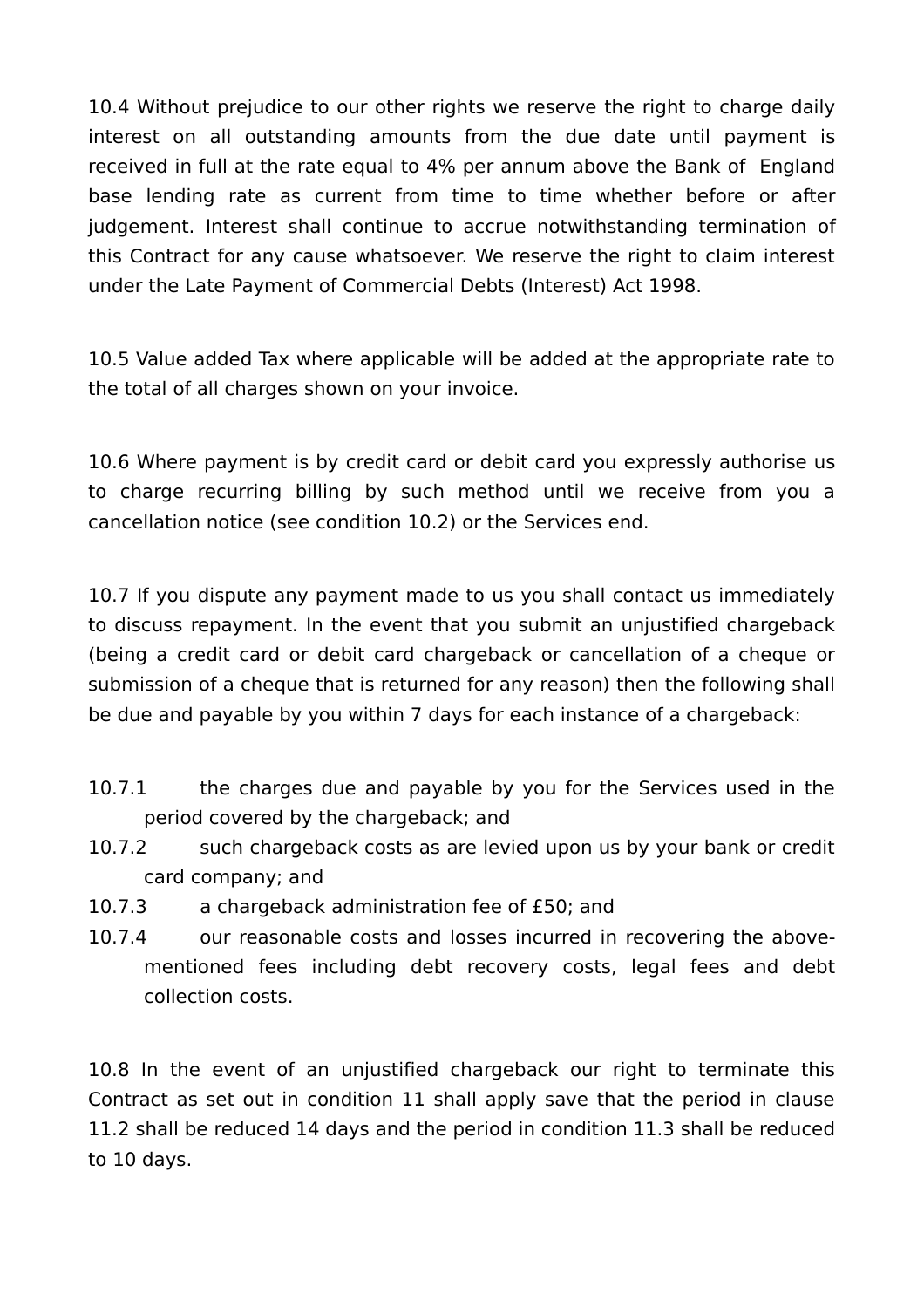10.4 Without prejudice to our other rights we reserve the right to charge daily interest on all outstanding amounts from the due date until payment is received in full at the rate equal to 4% per annum above the Bank of England base lending rate as current from time to time whether before or after judgement. Interest shall continue to accrue notwithstanding termination of this Contract for any cause whatsoever. We reserve the right to claim interest under the Late Payment of Commercial Debts (Interest) Act 1998.

10.5 Value added Tax where applicable will be added at the appropriate rate to the total of all charges shown on your invoice.

10.6 Where payment is by credit card or debit card you expressly authorise us to charge recurring billing by such method until we receive from you a cancellation notice (see condition 10.2) or the Services end.

10.7 If you dispute any payment made to us you shall contact us immediately to discuss repayment. In the event that you submit an unjustified chargeback (being a credit card or debit card chargeback or cancellation of a cheque or submission of a cheque that is returned for any reason) then the following shall be due and payable by you within 7 days for each instance of a chargeback:

- 10.7.1 the charges due and payable by you for the Services used in the period covered by the chargeback; and
- 10.7.2 such chargeback costs as are levied upon us by your bank or credit card company; and
- 10.7.3 a chargeback administration fee of £50; and
- 10.7.4 our reasonable costs and losses incurred in recovering the abovementioned fees including debt recovery costs, legal fees and debt collection costs.

10.8 In the event of an unjustified chargeback our right to terminate this Contract as set out in condition 11 shall apply save that the period in clause 11.2 shall be reduced 14 days and the period in condition 11.3 shall be reduced to 10 days.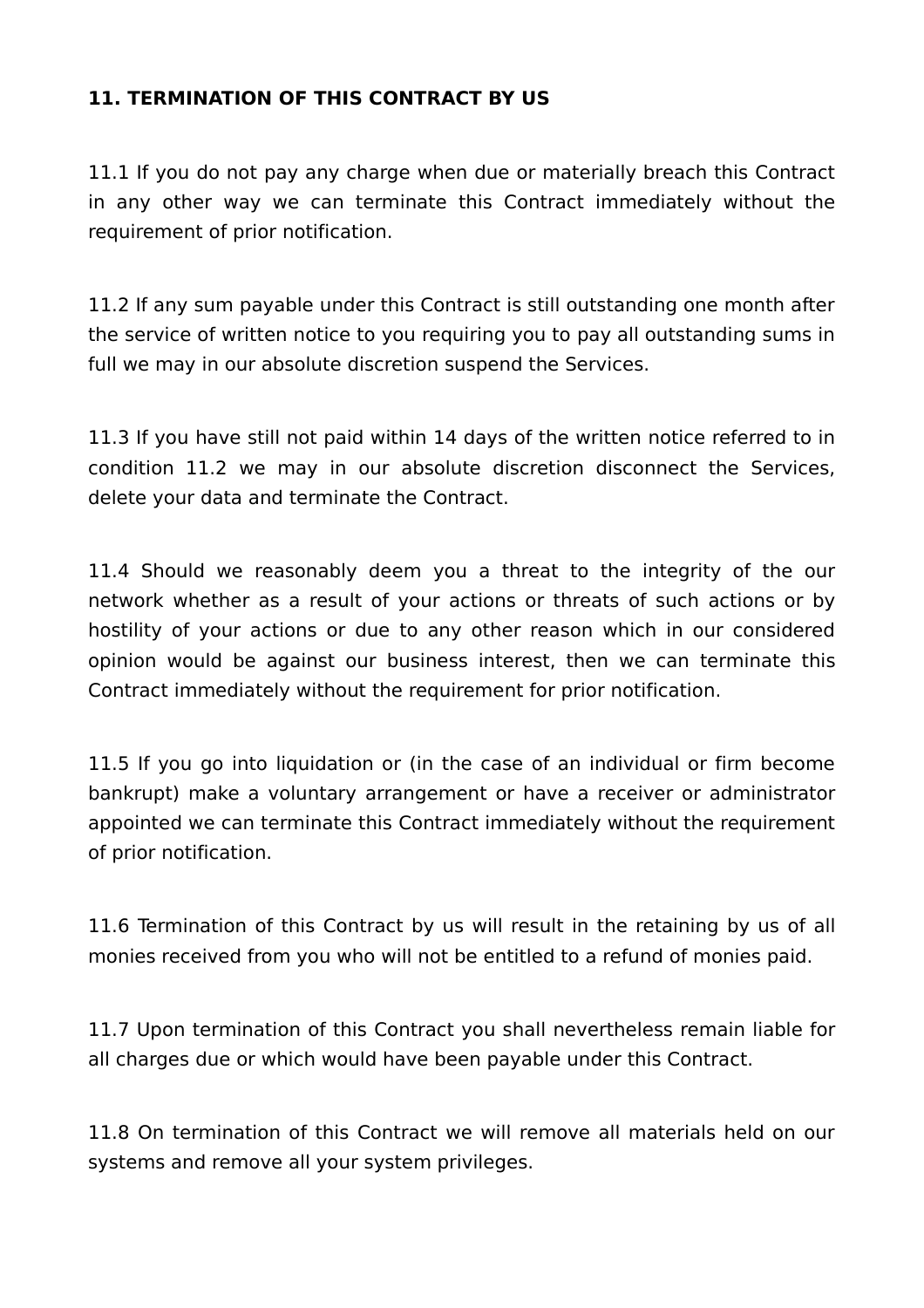#### **11. TERMINATION OF THIS CONTRACT BY US**

11.1 If you do not pay any charge when due or materially breach this Contract in any other way we can terminate this Contract immediately without the requirement of prior notification.

11.2 If any sum payable under this Contract is still outstanding one month after the service of written notice to you requiring you to pay all outstanding sums in full we may in our absolute discretion suspend the Services.

11.3 If you have still not paid within 14 days of the written notice referred to in condition 11.2 we may in our absolute discretion disconnect the Services, delete your data and terminate the Contract.

11.4 Should we reasonably deem you a threat to the integrity of the our network whether as a result of your actions or threats of such actions or by hostility of your actions or due to any other reason which in our considered opinion would be against our business interest, then we can terminate this Contract immediately without the requirement for prior notification.

11.5 If you go into liquidation or (in the case of an individual or firm become bankrupt) make a voluntary arrangement or have a receiver or administrator appointed we can terminate this Contract immediately without the requirement of prior notification.

11.6 Termination of this Contract by us will result in the retaining by us of all monies received from you who will not be entitled to a refund of monies paid.

11.7 Upon termination of this Contract you shall nevertheless remain liable for all charges due or which would have been payable under this Contract.

11.8 On termination of this Contract we will remove all materials held on our systems and remove all your system privileges.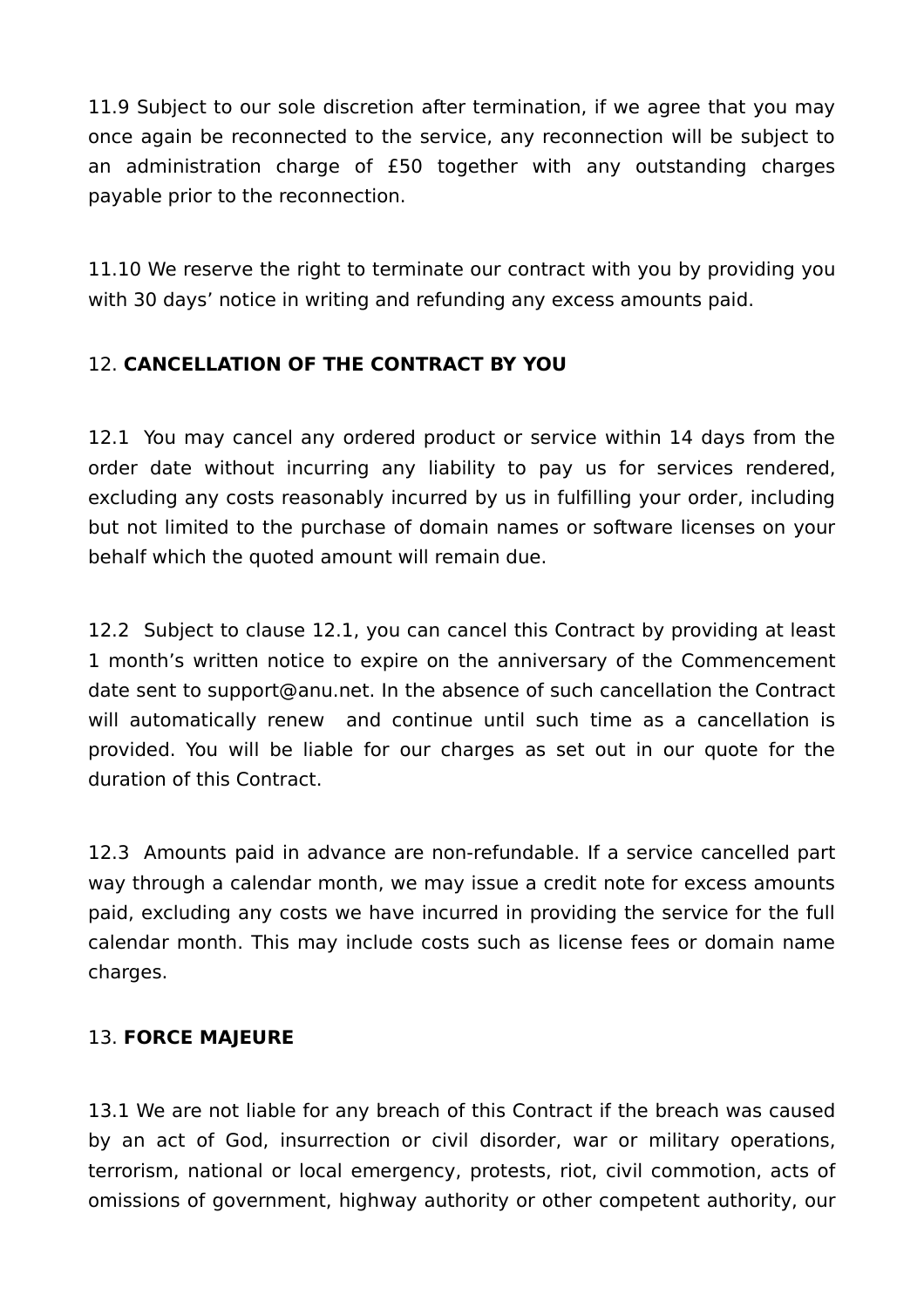11.9 Subject to our sole discretion after termination, if we agree that you may once again be reconnected to the service, any reconnection will be subject to an administration charge of £50 together with any outstanding charges payable prior to the reconnection.

11.10 We reserve the right to terminate our contract with you by providing you with 30 days' notice in writing and refunding any excess amounts paid.

## 12. **CANCELLATION OF THE CONTRACT BY YOU**

12.1 You may cancel any ordered product or service within 14 days from the order date without incurring any liability to pay us for services rendered, excluding any costs reasonably incurred by us in fulfilling your order, including but not limited to the purchase of domain names or software licenses on your behalf which the quoted amount will remain due.

12.2 Subject to clause 12.1, you can cancel this Contract by providing at least 1 month's written notice to expire on the anniversary of the Commencement date sent to support@anu.net. In the absence of such cancellation the Contract will automatically renew and continue until such time as a cancellation is provided. You will be liable for our charges as set out in our quote for the duration of this Contract.

12.3 Amounts paid in advance are non-refundable. If a service cancelled part way through a calendar month, we may issue a credit note for excess amounts paid, excluding any costs we have incurred in providing the service for the full calendar month. This may include costs such as license fees or domain name charges.

## 13. **FORCE MAJEURE**

13.1 We are not liable for any breach of this Contract if the breach was caused by an act of God, insurrection or civil disorder, war or military operations, terrorism, national or local emergency, protests, riot, civil commotion, acts of omissions of government, highway authority or other competent authority, our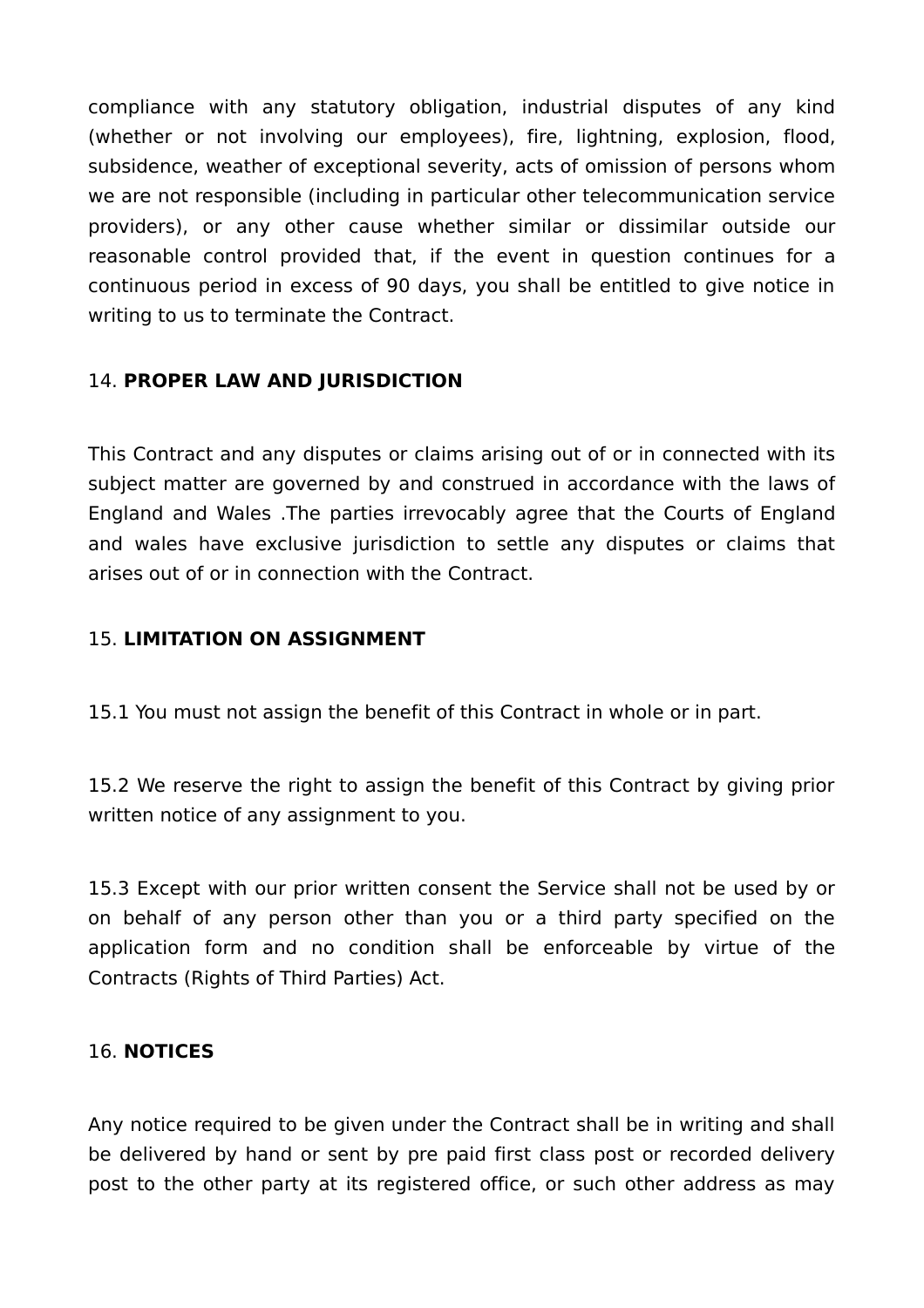compliance with any statutory obligation, industrial disputes of any kind (whether or not involving our employees), fire, lightning, explosion, flood, subsidence, weather of exceptional severity, acts of omission of persons whom we are not responsible (including in particular other telecommunication service providers), or any other cause whether similar or dissimilar outside our reasonable control provided that, if the event in question continues for a continuous period in excess of 90 days, you shall be entitled to give notice in writing to us to terminate the Contract.

### 14. **PROPER LAW AND JURISDICTION**

This Contract and any disputes or claims arising out of or in connected with its subject matter are governed by and construed in accordance with the laws of England and Wales .The parties irrevocably agree that the Courts of England and wales have exclusive jurisdiction to settle any disputes or claims that arises out of or in connection with the Contract.

#### 15. **LIMITATION ON ASSIGNMENT**

15.1 You must not assign the benefit of this Contract in whole or in part.

15.2 We reserve the right to assign the benefit of this Contract by giving prior written notice of any assignment to you.

15.3 Except with our prior written consent the Service shall not be used by or on behalf of any person other than you or a third party specified on the application form and no condition shall be enforceable by virtue of the Contracts (Rights of Third Parties) Act.

#### 16. **NOTICES**

Any notice required to be given under the Contract shall be in writing and shall be delivered by hand or sent by pre paid first class post or recorded delivery post to the other party at its registered office, or such other address as may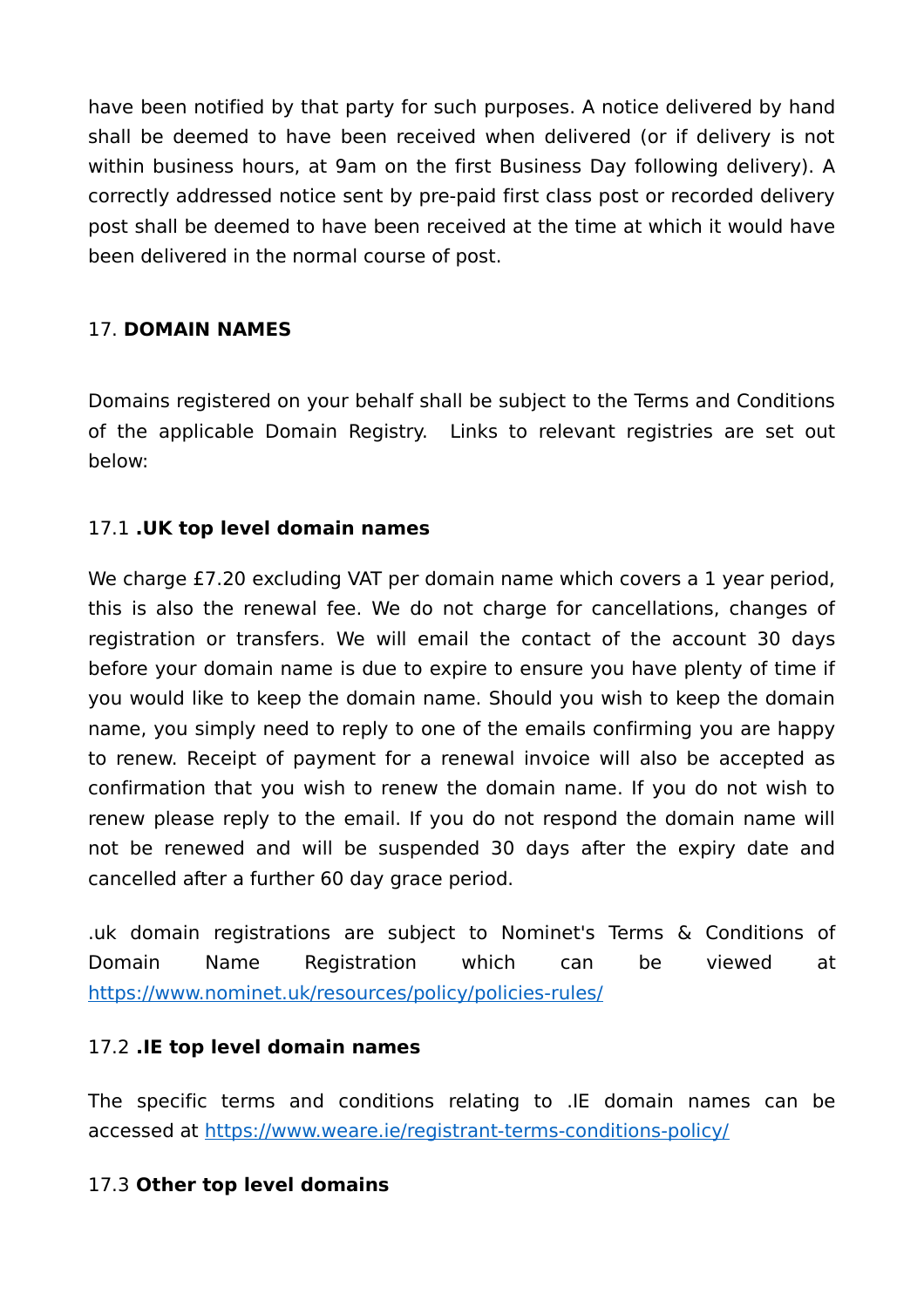have been notified by that party for such purposes. A notice delivered by hand shall be deemed to have been received when delivered (or if delivery is not within business hours, at 9am on the first Business Day following delivery). A correctly addressed notice sent by pre-paid first class post or recorded delivery post shall be deemed to have been received at the time at which it would have been delivered in the normal course of post.

### 17. **DOMAIN NAMES**

Domains registered on your behalf shall be subject to the Terms and Conditions of the applicable Domain Registry. Links to relevant registries are set out below:

## 17.1 **.UK top level domain names**

We charge £7.20 excluding VAT per domain name which covers a 1 year period, this is also the renewal fee. We do not charge for cancellations, changes of registration or transfers. We will email the contact of the account 30 days before your domain name is due to expire to ensure you have plenty of time if you would like to keep the domain name. Should you wish to keep the domain name, you simply need to reply to one of the emails confirming you are happy to renew. Receipt of payment for a renewal invoice will also be accepted as confirmation that you wish to renew the domain name. If you do not wish to renew please reply to the email. If you do not respond the domain name will not be renewed and will be suspended 30 days after the expiry date and cancelled after a further 60 day grace period.

.uk domain registrations are subject to Nominet's Terms & Conditions of Domain Name Registration which can be viewed at https://www.nominet.uk/resources/policy/policies-rules/

### 17.2 **.IE top level domain names**

The specific terms and conditions relating to .IE domain names can be accessed at https://www.weare.ie/registrant-terms-conditions-policy/

### 17.3 **Other top level domains**